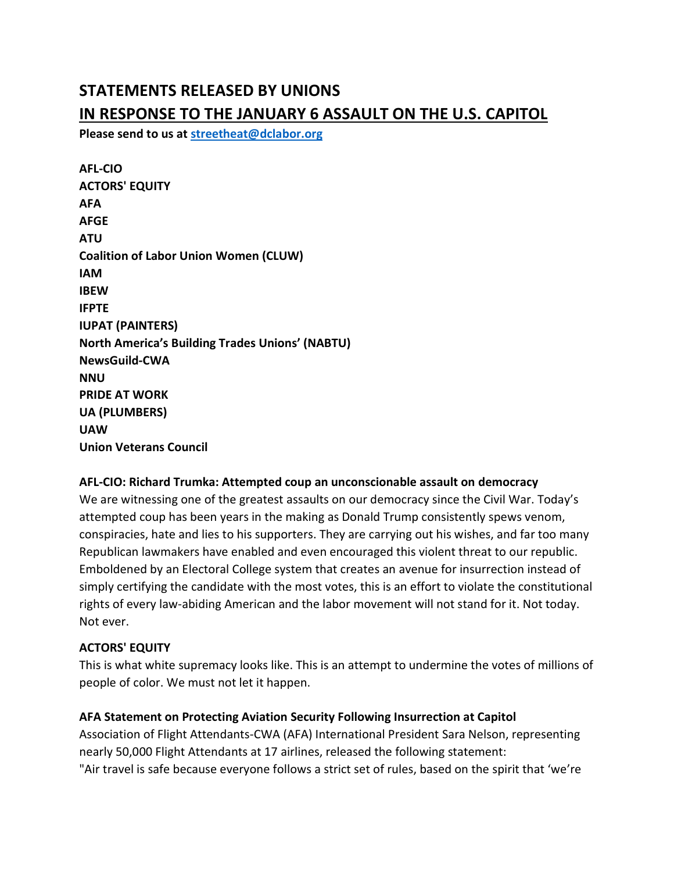# STATEMENTS RELEASED BY UNIONS IN RESPONSE TO THE JANUARY 6 ASSAULT ON THE U.S. CAPITOL

Please send to us at streetheat@dclabor.org

| <b>AFL-CIO</b>                                         |
|--------------------------------------------------------|
| <b>ACTORS' EQUITY</b>                                  |
| AFA                                                    |
| AFGE                                                   |
| ATU                                                    |
| <b>Coalition of Labor Union Women (CLUW)</b>           |
| IAM                                                    |
| <b>IBEW</b>                                            |
| <b>IFPTE</b>                                           |
| <b>IUPAT (PAINTERS)</b>                                |
| <b>North America's Building Trades Unions' (NABTU)</b> |
| <b>NewsGuild-CWA</b>                                   |
| NNU                                                    |
| <b>PRIDE AT WORK</b>                                   |
| <b>UA (PLUMBERS)</b>                                   |
| <b>UAW</b>                                             |
| <b>Union Veterans Council</b>                          |

### AFL-CIO: Richard Trumka: Attempted coup an unconscionable assault on democracy

We are witnessing one of the greatest assaults on our democracy since the Civil War. Today's attempted coup has been years in the making as Donald Trump consistently spews venom, conspiracies, hate and lies to his supporters. They are carrying out his wishes, and far too many Republican lawmakers have enabled and even encouraged this violent threat to our republic. Emboldened by an Electoral College system that creates an avenue for insurrection instead of simply certifying the candidate with the most votes, this is an effort to violate the constitutional rights of every law-abiding American and the labor movement will not stand for it. Not today. Not ever.

### ACTORS' EQUITY

This is what white supremacy looks like. This is an attempt to undermine the votes of millions of people of color. We must not let it happen.

### AFA Statement on Protecting Aviation Security Following Insurrection at Capitol

Association of Flight Attendants-CWA (AFA) International President Sara Nelson, representing nearly 50,000 Flight Attendants at 17 airlines, released the following statement: "Air travel is safe because everyone follows a strict set of rules, based on the spirit that 'we're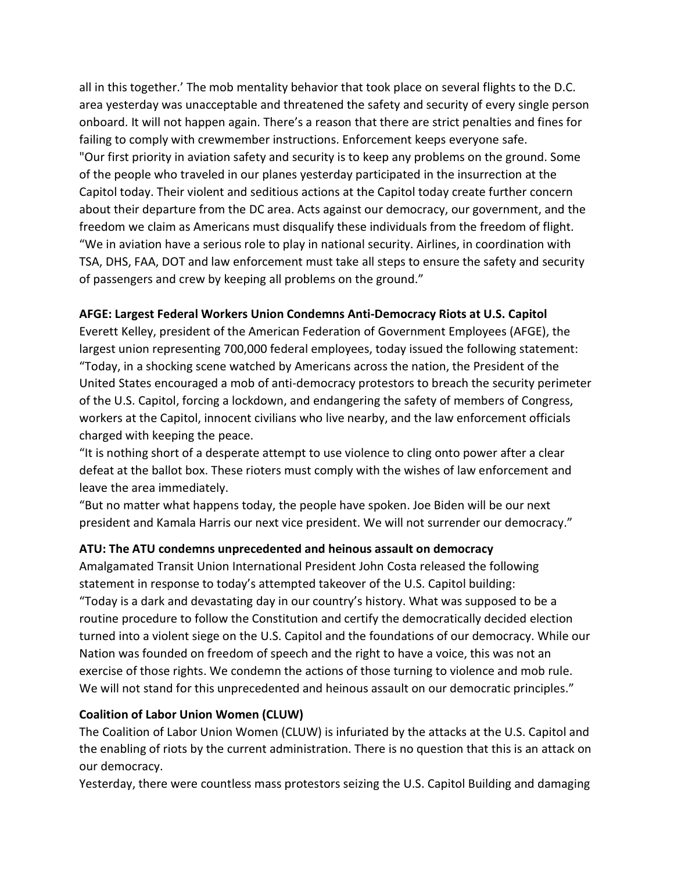all in this together.' The mob mentality behavior that took place on several flights to the D.C. area yesterday was unacceptable and threatened the safety and security of every single person onboard. It will not happen again. There's a reason that there are strict penalties and fines for failing to comply with crewmember instructions. Enforcement keeps everyone safe. "Our first priority in aviation safety and security is to keep any problems on the ground. Some of the people who traveled in our planes yesterday participated in the insurrection at the Capitol today. Their violent and seditious actions at the Capitol today create further concern about their departure from the DC area. Acts against our democracy, our government, and the freedom we claim as Americans must disqualify these individuals from the freedom of flight. "We in aviation have a serious role to play in national security. Airlines, in coordination with TSA, DHS, FAA, DOT and law enforcement must take all steps to ensure the safety and security of passengers and crew by keeping all problems on the ground."

### AFGE: Largest Federal Workers Union Condemns Anti-Democracy Riots at U.S. Capitol

Everett Kelley, president of the American Federation of Government Employees (AFGE), the largest union representing 700,000 federal employees, today issued the following statement: "Today, in a shocking scene watched by Americans across the nation, the President of the United States encouraged a mob of anti-democracy protestors to breach the security perimeter of the U.S. Capitol, forcing a lockdown, and endangering the safety of members of Congress, workers at the Capitol, innocent civilians who live nearby, and the law enforcement officials charged with keeping the peace.

"It is nothing short of a desperate attempt to use violence to cling onto power after a clear defeat at the ballot box. These rioters must comply with the wishes of law enforcement and leave the area immediately.

"But no matter what happens today, the people have spoken. Joe Biden will be our next president and Kamala Harris our next vice president. We will not surrender our democracy."

### ATU: The ATU condemns unprecedented and heinous assault on democracy

Amalgamated Transit Union International President John Costa released the following statement in response to today's attempted takeover of the U.S. Capitol building: "Today is a dark and devastating day in our country's history. What was supposed to be a routine procedure to follow the Constitution and certify the democratically decided election turned into a violent siege on the U.S. Capitol and the foundations of our democracy. While our Nation was founded on freedom of speech and the right to have a voice, this was not an exercise of those rights. We condemn the actions of those turning to violence and mob rule. We will not stand for this unprecedented and heinous assault on our democratic principles."

### Coalition of Labor Union Women (CLUW)

The Coalition of Labor Union Women (CLUW) is infuriated by the attacks at the U.S. Capitol and the enabling of riots by the current administration. There is no question that this is an attack on our democracy.

Yesterday, there were countless mass protestors seizing the U.S. Capitol Building and damaging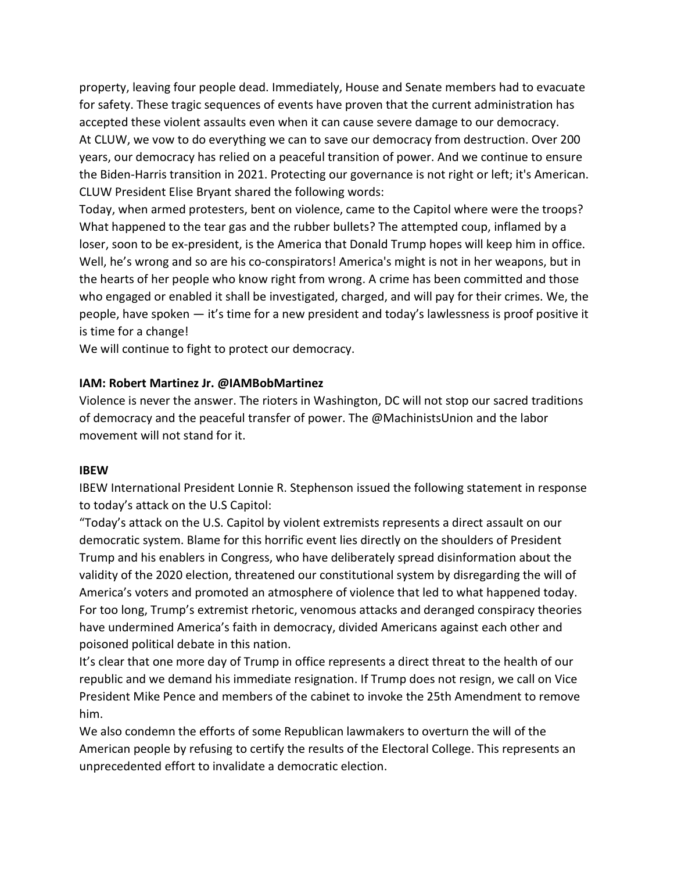property, leaving four people dead. Immediately, House and Senate members had to evacuate for safety. These tragic sequences of events have proven that the current administration has accepted these violent assaults even when it can cause severe damage to our democracy. At CLUW, we vow to do everything we can to save our democracy from destruction. Over 200 years, our democracy has relied on a peaceful transition of power. And we continue to ensure the Biden-Harris transition in 2021. Protecting our governance is not right or left; it's American. CLUW President Elise Bryant shared the following words:

Today, when armed protesters, bent on violence, came to the Capitol where were the troops? What happened to the tear gas and the rubber bullets? The attempted coup, inflamed by a loser, soon to be ex-president, is the America that Donald Trump hopes will keep him in office. Well, he's wrong and so are his co-conspirators! America's might is not in her weapons, but in the hearts of her people who know right from wrong. A crime has been committed and those who engaged or enabled it shall be investigated, charged, and will pay for their crimes. We, the people, have spoken — it's time for a new president and today's lawlessness is proof positive it is time for a change!

We will continue to fight to protect our democracy.

#### IAM: Robert Martinez Jr. @IAMBobMartinez

Violence is never the answer. The rioters in Washington, DC will not stop our sacred traditions of democracy and the peaceful transfer of power. The @MachinistsUnion and the labor movement will not stand for it.

#### IBEW

IBEW International President Lonnie R. Stephenson issued the following statement in response to today's attack on the U.S Capitol:

"Today's attack on the U.S. Capitol by violent extremists represents a direct assault on our democratic system. Blame for this horrific event lies directly on the shoulders of President Trump and his enablers in Congress, who have deliberately spread disinformation about the validity of the 2020 election, threatened our constitutional system by disregarding the will of America's voters and promoted an atmosphere of violence that led to what happened today. For too long, Trump's extremist rhetoric, venomous attacks and deranged conspiracy theories have undermined America's faith in democracy, divided Americans against each other and poisoned political debate in this nation.

It's clear that one more day of Trump in office represents a direct threat to the health of our republic and we demand his immediate resignation. If Trump does not resign, we call on Vice President Mike Pence and members of the cabinet to invoke the 25th Amendment to remove him.

We also condemn the efforts of some Republican lawmakers to overturn the will of the American people by refusing to certify the results of the Electoral College. This represents an unprecedented effort to invalidate a democratic election.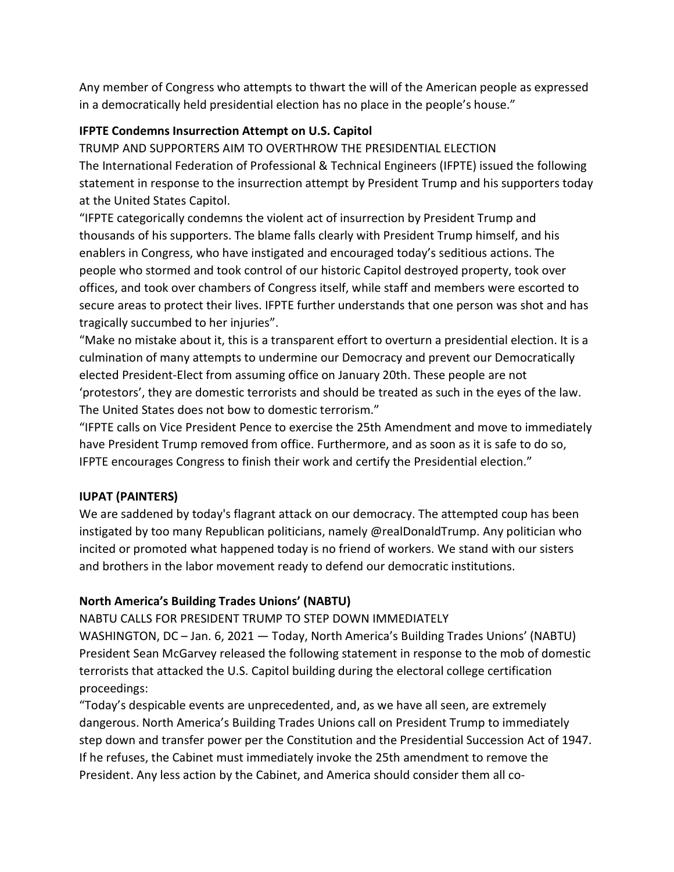Any member of Congress who attempts to thwart the will of the American people as expressed in a democratically held presidential election has no place in the people's house."

### IFPTE Condemns Insurrection Attempt on U.S. Capitol

TRUMP AND SUPPORTERS AIM TO OVERTHROW THE PRESIDENTIAL ELECTION The International Federation of Professional & Technical Engineers (IFPTE) issued the following statement in response to the insurrection attempt by President Trump and his supporters today at the United States Capitol.

"IFPTE categorically condemns the violent act of insurrection by President Trump and thousands of his supporters. The blame falls clearly with President Trump himself, and his enablers in Congress, who have instigated and encouraged today's seditious actions. The people who stormed and took control of our historic Capitol destroyed property, took over offices, and took over chambers of Congress itself, while staff and members were escorted to secure areas to protect their lives. IFPTE further understands that one person was shot and has tragically succumbed to her injuries".

"Make no mistake about it, this is a transparent effort to overturn a presidential election. It is a culmination of many attempts to undermine our Democracy and prevent our Democratically elected President-Elect from assuming office on January 20th. These people are not 'protestors', they are domestic terrorists and should be treated as such in the eyes of the law. The United States does not bow to domestic terrorism."

"IFPTE calls on Vice President Pence to exercise the 25th Amendment and move to immediately have President Trump removed from office. Furthermore, and as soon as it is safe to do so, IFPTE encourages Congress to finish their work and certify the Presidential election."

### IUPAT (PAINTERS)

We are saddened by today's flagrant attack on our democracy. The attempted coup has been instigated by too many Republican politicians, namely @realDonaldTrump. Any politician who incited or promoted what happened today is no friend of workers. We stand with our sisters and brothers in the labor movement ready to defend our democratic institutions.

### North America's Building Trades Unions' (NABTU)

NABTU CALLS FOR PRESIDENT TRUMP TO STEP DOWN IMMEDIATELY

WASHINGTON, DC – Jan. 6, 2021 — Today, North America's Building Trades Unions' (NABTU) President Sean McGarvey released the following statement in response to the mob of domestic terrorists that attacked the U.S. Capitol building during the electoral college certification proceedings:

"Today's despicable events are unprecedented, and, as we have all seen, are extremely dangerous. North America's Building Trades Unions call on President Trump to immediately step down and transfer power per the Constitution and the Presidential Succession Act of 1947. If he refuses, the Cabinet must immediately invoke the 25th amendment to remove the President. Any less action by the Cabinet, and America should consider them all co-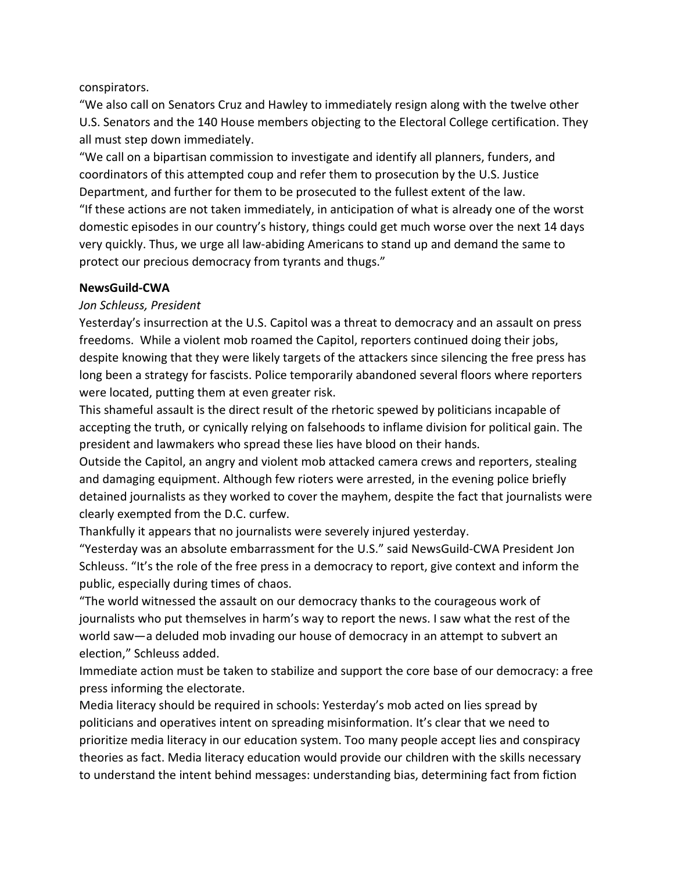### conspirators.

"We also call on Senators Cruz and Hawley to immediately resign along with the twelve other U.S. Senators and the 140 House members objecting to the Electoral College certification. They all must step down immediately.

"We call on a bipartisan commission to investigate and identify all planners, funders, and coordinators of this attempted coup and refer them to prosecution by the U.S. Justice Department, and further for them to be prosecuted to the fullest extent of the law. "If these actions are not taken immediately, in anticipation of what is already one of the worst domestic episodes in our country's history, things could get much worse over the next 14 days very quickly. Thus, we urge all law-abiding Americans to stand up and demand the same to protect our precious democracy from tyrants and thugs."

### NewsGuild-CWA

### Jon Schleuss, President

Yesterday's insurrection at the U.S. Capitol was a threat to democracy and an assault on press freedoms. While a violent mob roamed the Capitol, reporters continued doing their jobs, despite knowing that they were likely targets of the attackers since silencing the free press has long been a strategy for fascists. Police temporarily abandoned several floors where reporters were located, putting them at even greater risk.

This shameful assault is the direct result of the rhetoric spewed by politicians incapable of accepting the truth, or cynically relying on falsehoods to inflame division for political gain. The president and lawmakers who spread these lies have blood on their hands.

Outside the Capitol, an angry and violent mob attacked camera crews and reporters, stealing and damaging equipment. Although few rioters were arrested, in the evening police briefly detained journalists as they worked to cover the mayhem, despite the fact that journalists were clearly exempted from the D.C. curfew.

Thankfully it appears that no journalists were severely injured yesterday.

"Yesterday was an absolute embarrassment for the U.S." said NewsGuild-CWA President Jon Schleuss. "It's the role of the free press in a democracy to report, give context and inform the public, especially during times of chaos.

"The world witnessed the assault on our democracy thanks to the courageous work of journalists who put themselves in harm's way to report the news. I saw what the rest of the world saw—a deluded mob invading our house of democracy in an attempt to subvert an election," Schleuss added.

Immediate action must be taken to stabilize and support the core base of our democracy: a free press informing the electorate.

Media literacy should be required in schools: Yesterday's mob acted on lies spread by politicians and operatives intent on spreading misinformation. It's clear that we need to prioritize media literacy in our education system. Too many people accept lies and conspiracy theories as fact. Media literacy education would provide our children with the skills necessary to understand the intent behind messages: understanding bias, determining fact from fiction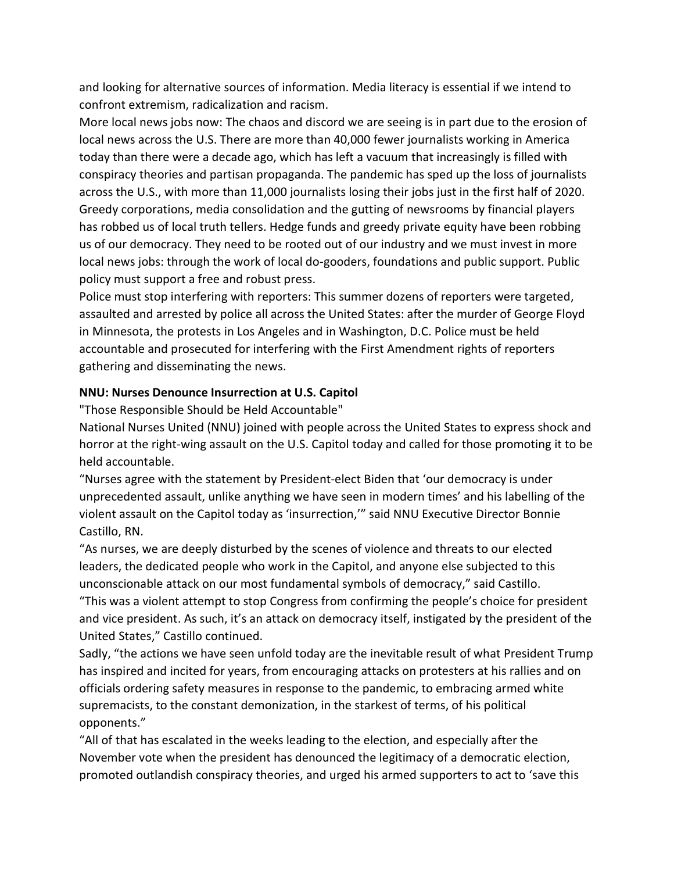and looking for alternative sources of information. Media literacy is essential if we intend to confront extremism, radicalization and racism.

More local news jobs now: The chaos and discord we are seeing is in part due to the erosion of local news across the U.S. There are more than 40,000 fewer journalists working in America today than there were a decade ago, which has left a vacuum that increasingly is filled with conspiracy theories and partisan propaganda. The pandemic has sped up the loss of journalists across the U.S., with more than 11,000 journalists losing their jobs just in the first half of 2020. Greedy corporations, media consolidation and the gutting of newsrooms by financial players has robbed us of local truth tellers. Hedge funds and greedy private equity have been robbing us of our democracy. They need to be rooted out of our industry and we must invest in more local news jobs: through the work of local do-gooders, foundations and public support. Public policy must support a free and robust press.

Police must stop interfering with reporters: This summer dozens of reporters were targeted, assaulted and arrested by police all across the United States: after the murder of George Floyd in Minnesota, the protests in Los Angeles and in Washington, D.C. Police must be held accountable and prosecuted for interfering with the First Amendment rights of reporters gathering and disseminating the news.

### NNU: Nurses Denounce Insurrection at U.S. Capitol

"Those Responsible Should be Held Accountable"

National Nurses United (NNU) joined with people across the United States to express shock and horror at the right-wing assault on the U.S. Capitol today and called for those promoting it to be held accountable.

"Nurses agree with the statement by President-elect Biden that 'our democracy is under unprecedented assault, unlike anything we have seen in modern times' and his labelling of the violent assault on the Capitol today as 'insurrection,'" said NNU Executive Director Bonnie Castillo, RN.

"As nurses, we are deeply disturbed by the scenes of violence and threats to our elected leaders, the dedicated people who work in the Capitol, and anyone else subjected to this unconscionable attack on our most fundamental symbols of democracy," said Castillo.

"This was a violent attempt to stop Congress from confirming the people's choice for president and vice president. As such, it's an attack on democracy itself, instigated by the president of the United States," Castillo continued.

Sadly, "the actions we have seen unfold today are the inevitable result of what President Trump has inspired and incited for years, from encouraging attacks on protesters at his rallies and on officials ordering safety measures in response to the pandemic, to embracing armed white supremacists, to the constant demonization, in the starkest of terms, of his political opponents."

"All of that has escalated in the weeks leading to the election, and especially after the November vote when the president has denounced the legitimacy of a democratic election, promoted outlandish conspiracy theories, and urged his armed supporters to act to 'save this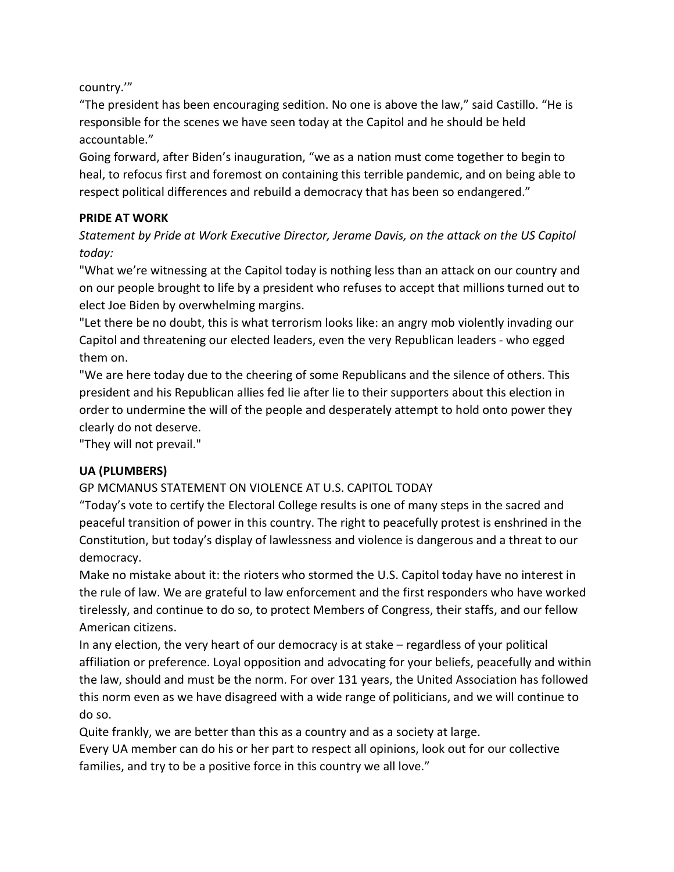country.'"

"The president has been encouraging sedition. No one is above the law," said Castillo. "He is responsible for the scenes we have seen today at the Capitol and he should be held accountable."

Going forward, after Biden's inauguration, "we as a nation must come together to begin to heal, to refocus first and foremost on containing this terrible pandemic, and on being able to respect political differences and rebuild a democracy that has been so endangered."

### PRIDE AT WORK

Statement by Pride at Work Executive Director, Jerame Davis, on the attack on the US Capitol today:

"What we're witnessing at the Capitol today is nothing less than an attack on our country and on our people brought to life by a president who refuses to accept that millions turned out to elect Joe Biden by overwhelming margins.

"Let there be no doubt, this is what terrorism looks like: an angry mob violently invading our Capitol and threatening our elected leaders, even the very Republican leaders - who egged them on.

"We are here today due to the cheering of some Republicans and the silence of others. This president and his Republican allies fed lie after lie to their supporters about this election in order to undermine the will of the people and desperately attempt to hold onto power they clearly do not deserve.

"They will not prevail."

# UA (PLUMBERS)

# GP MCMANUS STATEMENT ON VIOLENCE AT U.S. CAPITOL TODAY

"Today's vote to certify the Electoral College results is one of many steps in the sacred and peaceful transition of power in this country. The right to peacefully protest is enshrined in the Constitution, but today's display of lawlessness and violence is dangerous and a threat to our democracy.

Make no mistake about it: the rioters who stormed the U.S. Capitol today have no interest in the rule of law. We are grateful to law enforcement and the first responders who have worked tirelessly, and continue to do so, to protect Members of Congress, their staffs, and our fellow American citizens.

In any election, the very heart of our democracy is at stake – regardless of your political affiliation or preference. Loyal opposition and advocating for your beliefs, peacefully and within the law, should and must be the norm. For over 131 years, the United Association has followed this norm even as we have disagreed with a wide range of politicians, and we will continue to do so.

Quite frankly, we are better than this as a country and as a society at large.

Every UA member can do his or her part to respect all opinions, look out for our collective families, and try to be a positive force in this country we all love."